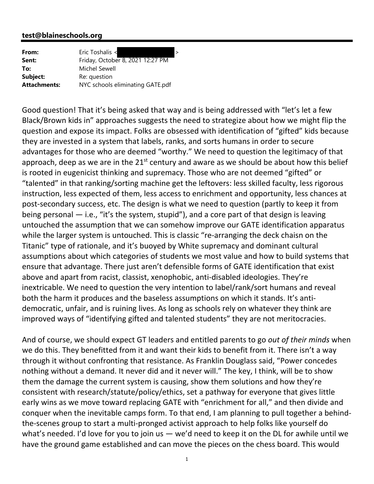## **test@blaineschools.org**

| From:               | Eric Toshalis <<br>$\geq$        |
|---------------------|----------------------------------|
| Sent:               | Friday, October 8, 2021 12:27 PM |
| To:                 | Michel Sewell                    |
| Subject:            | Re: question                     |
| <b>Attachments:</b> | NYC schools eliminating GATE.pdf |

Good question! That it's being asked that way and is being addressed with "let's let a few Black/Brown kids in" approaches suggests the need to strategize about how we might flip the question and expose its impact. Folks are obsessed with identification of "gifted" kids because they are invested in a system that labels, ranks, and sorts humans in order to secure advantages for those who are deemed "worthy." We need to question the legitimacy of that approach, deep as we are in the  $21<sup>st</sup>$  century and aware as we should be about how this belief is rooted in eugenicist thinking and supremacy. Those who are not deemed "gifted" or "talented" in that ranking/sorting machine get the leftovers: less skilled faculty, less rigorous instruction, less expected of them, less access to enrichment and opportunity, less chances at post‐secondary success, etc. The design is what we need to question (partly to keep it from being personal — i.e., "it's the system, stupid"), and a core part of that design is leaving untouched the assumption that we can somehow improve our GATE identification apparatus while the larger system is untouched. This is classic "re-arranging the deck chaisn on the Titanic" type of rationale, and it's buoyed by White supremacy and dominant cultural assumptions about which categories of students we most value and how to build systems that ensure that advantage. There just aren't defensible forms of GATE identification that exist above and apart from racist, classist, xenophobic, anti‐disabled ideologies. They're inextricable. We need to question the very intention to label/rank/sort humans and reveal both the harm it produces and the baseless assumptions on which it stands. It's anti‐ democratic, unfair, and is ruining lives. As long as schools rely on whatever they think are improved ways of "identifying gifted and talented students" they are not meritocracies.

And of course, we should expect GT leaders and entitled parents to go *out of their minds* when we do this. They benefitted from it and want their kids to benefit from it. There isn't a way through it without confronting that resistance. As Franklin Douglass said, "Power concedes nothing without a demand. It never did and it never will." The key, I think, will be to show them the damage the current system is causing, show them solutions and how they're consistent with research/statute/policy/ethics, set a pathway for everyone that gives little early wins as we move toward replacing GATE with "enrichment for all," and then divide and conquer when the inevitable camps form. To that end, I am planning to pull together a behind‐ the‐scenes group to start a multi‐pronged activist approach to help folks like yourself do what's needed. I'd love for you to join us — we'd need to keep it on the DL for awhile until we have the ground game established and can move the pieces on the chess board. This would